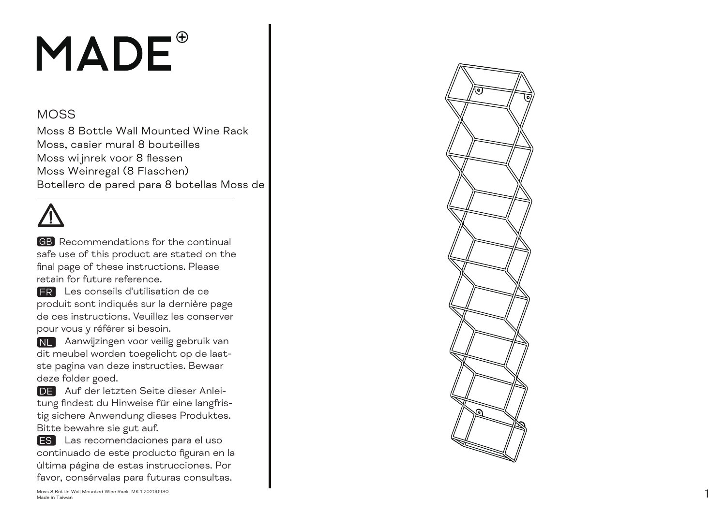## MADE<sup>®</sup>

## MOS S

Moss 8 Bot tle Wall Mounte d Wine Rac k Mos s, ca sier mu ral 8 bouteill e s Moss wijnrek voor 8 fles s e n Moss Weinregal (8 Fl aschen ) Botellero de pared para 8 botellas Moss de

**GB** Recommendations for the continual s a fe u se o f th is p rod uct a re s t a ted on the final pa ge o f the se in str uctions. Plea se retain for future reference.

 Les con seils d' util i sation de ce FR produit sont indiqués sur la dernière page de ces in str uctions. Veuillez les con s e r ver pour vous y r é fé rer si be soin.

NL Aanwijzingen voor veilig gebruik van dit meubel w o rden toe gelic ht op de laat s te pa gina van de ze in str ucties. B e waar de ze folder goed.

DE Auf der letzten Seite dieser Anleitung findest du Hinweise für eine langfristig sichere Anwendung dieses Produktes. Bitte bewahre sie gut auf.

**ES** Las recomendaciones para el uso co ntinuado de e s te p rod u c to figu ran en la última página de estas instrucciones. Por favor, consérvalas para futuras consultas.

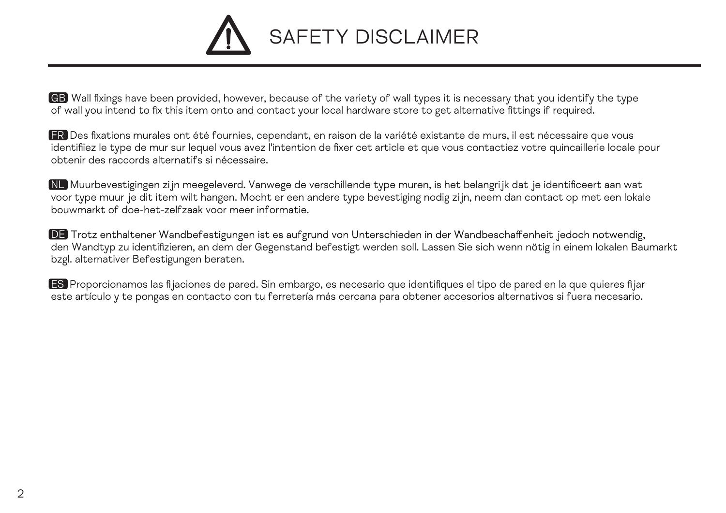

GB Wall fixings have been provided, however, because of the variety of wall types it is necessary that you identify the type of wall you intend to fix this item onto and contact your local hardware store to get alternative fittings if required.

FR Des fixations murales ont été fournies, cependant, en raison de la variété existante de murs, il est nécessaire que vous identifiiez le type de mur sur lequel vous avez l'intention de fixer cet article et que vous contactiez votre quincaillerie locale pour obtenir des raccords alternatifs si nécessaire.

NL Muurbevestigingen zijn meegeleverd. Vanwege de verschillende type muren, is het belangrijk dat je identificeert aan wat voor type muur je dit item wilt hangen. Mocht er een andere type bevestiging nodig zijn, neem dan contact op met een lokale bouwmarkt of doe-het-zelfzaak voor meer informatie.

DE Trotz enthaltener Wandbefestigungen ist es aufgrund von Unterschieden in der Wandbeschaffenheit jedoch notwendig, den Wandtyp zu identifizieren, an dem der Gegenstand befestigt werden soll. Lassen Sie sich wenn nötig in einem lokalen Baumarkt bzgl. alternativer Befestigungen beraten.

ES Proporcionamos las fijaciones de pared. Sin embargo, es necesario que identifiques el tipo de pared en la que quieres fijar este artículo y te pongas en contacto con tu ferretería más cercana para obtener accesorios alternativos si fuera necesario.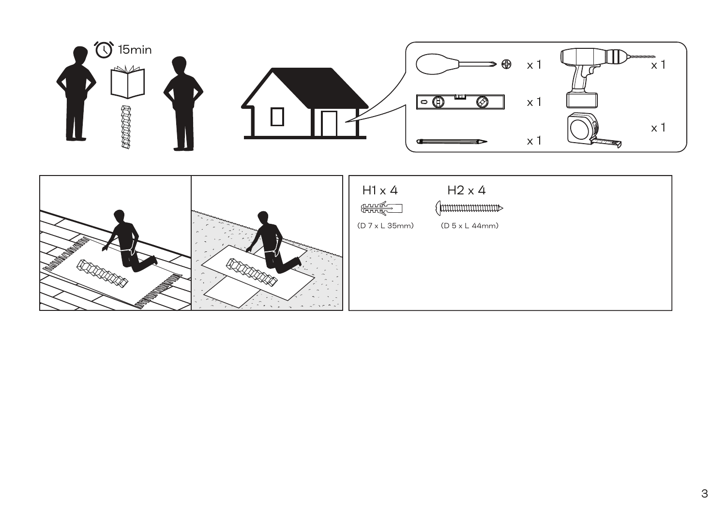

**REDERICK** 

 $\sim$ 

**REDUCED**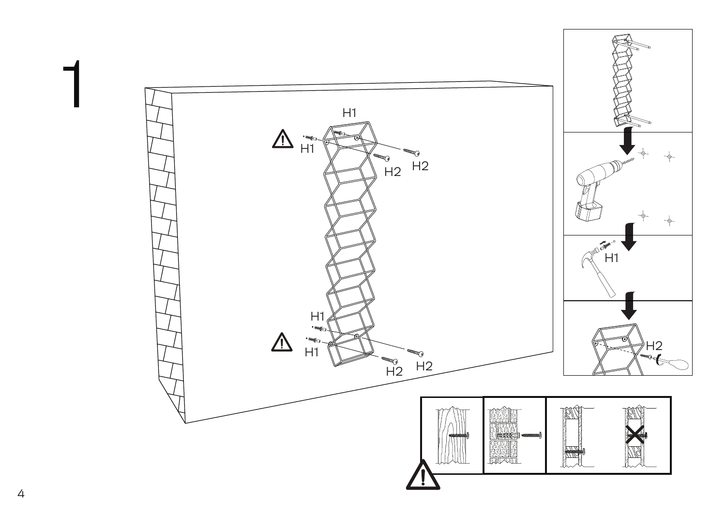